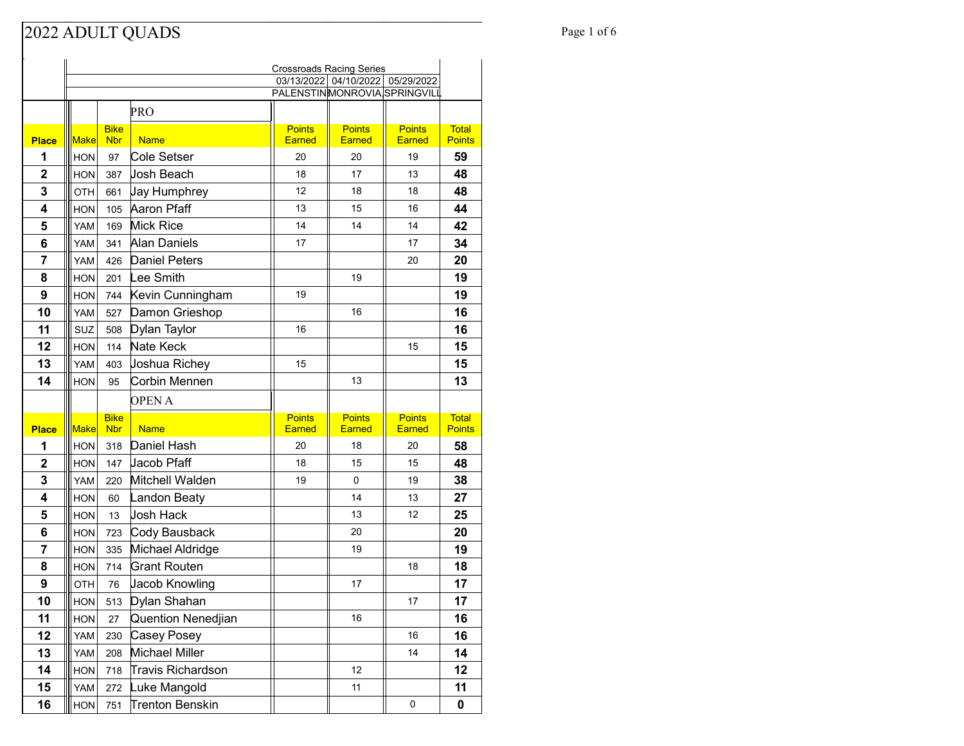#### Page 1 of 6 Page 1 of 6

|                | <b>Crossroads Racing Series</b> |                           |                                         |                                |                                  |                                |                               |
|----------------|---------------------------------|---------------------------|-----------------------------------------|--------------------------------|----------------------------------|--------------------------------|-------------------------------|
|                |                                 |                           |                                         |                                | 03/13/2022 04/10/2022 05/29/2022 |                                |                               |
|                |                                 |                           |                                         | PALENSTINMONROVIA SPRINGVILI   |                                  |                                |                               |
|                |                                 |                           | PRO                                     |                                |                                  |                                |                               |
| <b>Place</b>   | <b>Make</b>                     | <b>Bike</b><br><b>Nbr</b> | <b>Name</b>                             | <b>Points</b><br><b>Earned</b> | <b>Points</b><br>Earned          | <b>Points</b><br><b>Earned</b> | <b>Total</b><br><b>Points</b> |
| 1              | <b>HON</b>                      | 97                        | Cole Setser                             | 20                             | 20                               | 19                             | 59                            |
| 2              | <b>HON</b>                      | 387                       | <b>Josh Beach</b>                       | 18                             | 17                               | 13                             | 48                            |
| 3              | OTH                             | 661                       | Jay Humphrey                            | 12                             | 18                               | 18                             | 48                            |
| 4              | <b>HON</b>                      | 105                       | Aaron Pfaff                             | 13                             | 15                               | 16                             | 44                            |
| 5              | YAM                             | 169                       | <b>Mick Rice</b>                        | 14                             | 14                               | 14                             | 42                            |
| 6              | YAM                             | 341                       | Alan Daniels                            | 17                             |                                  | 17                             | 34                            |
| 7              | YAM                             | 426                       | <b>Daniel Peters</b>                    |                                |                                  | 20                             | 20                            |
| 8              | <b>HON</b>                      | 201                       | Lee Smith                               |                                | 19                               |                                | 19                            |
| 9              | <b>HON</b>                      | 744                       | Kevin Cunningham                        | 19                             |                                  |                                | 19                            |
| 10             | YAM                             | 527                       | Damon Grieshop                          |                                | 16                               |                                | 16                            |
| 11             | SUZ                             | 508                       | Dylan Taylor                            | 16                             |                                  |                                | 16                            |
| 12             | <b>HON</b>                      | 114                       | Nate Keck                               |                                |                                  | 15                             | 15                            |
| 13             | YAM                             | 403                       | Joshua Richey                           | 15                             |                                  |                                | 15                            |
| 14             | <b>HON</b>                      | 95                        | Corbin Mennen                           |                                | 13                               |                                | 13                            |
|                |                                 |                           |                                         |                                |                                  |                                |                               |
|                |                                 |                           | <b>OPEN A</b>                           |                                |                                  |                                |                               |
|                |                                 | <b>Bike</b>               |                                         | <b>Points</b>                  | <b>Points</b>                    | <b>Points</b>                  | <b>Total</b>                  |
| <b>Place</b>   | <b>Make</b>                     | <b>Nbr</b>                | <b>Name</b>                             | <b>Earned</b>                  | <b>Earned</b>                    | <b>Earned</b>                  | <b>Points</b>                 |
| 1              | <b>HON</b>                      | 318                       | Daniel Hash                             | 20                             | 18                               | 20                             | 58                            |
| $\overline{2}$ | <b>HON</b>                      | 147                       | Jacob Pfaff                             | 18<br>19                       | 15<br>0                          | 15                             | 48                            |
| 3              | YAM                             | 220                       | Mitchell Walden                         |                                | 14                               | 19<br>13                       | 38                            |
| 4              | <b>HON</b><br><b>HON</b>        | 60                        | Landon Beaty                            |                                | 13                               | 12                             | 27                            |
| 5              | <b>HON</b>                      | 13                        | Josh Hack                               |                                | 20                               |                                | 25<br>20                      |
| 6<br>7         | <b>HON</b>                      | 723<br>335                | Cody Bausback                           |                                | 19                               |                                | 19                            |
| 8              | <b>HON</b>                      | 714                       | Michael Aldridge<br><b>Grant Routen</b> |                                |                                  | 18                             | 18                            |
| 9              | <b>OTH</b>                      | 76                        | Jacob Knowling                          |                                | 17                               |                                | 17                            |
| 10             | <b>HON</b>                      | 513                       | Dylan Shahan                            |                                |                                  | 17                             | 17                            |
| 11             | <b>HON</b>                      | 27                        | Quention Nenedjian                      |                                | 16                               |                                | 16                            |
| 12             | YAM                             | 230                       | Casey Posey                             |                                |                                  | 16                             | 16                            |
| 13             | YAM                             | 208                       | Michael Miller                          |                                |                                  | 14                             | 14                            |
| 14             | <b>HON</b>                      | 718                       | <b>Travis Richardson</b>                |                                | 12                               |                                | 12                            |
| 15             | YAM                             | 272                       | Luke Mangold                            |                                | 11                               |                                | 11                            |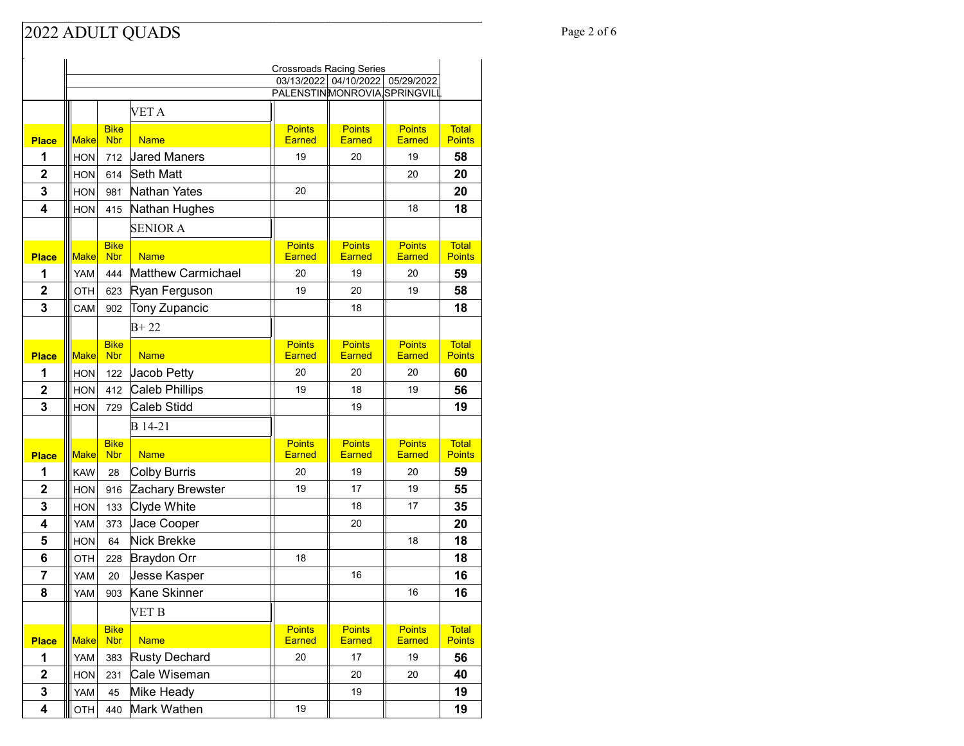### Page 2 of 6 Page 2 of 6

|                         | <b>Crossroads Racing Series</b> |                           |                           |                                                       |                                |                                |                               |
|-------------------------|---------------------------------|---------------------------|---------------------------|-------------------------------------------------------|--------------------------------|--------------------------------|-------------------------------|
|                         |                                 |                           |                           | 03/13/2022 04/10/2022<br>PALENSTINMONROVIA SPRINGVILL |                                | 05/29/2022                     |                               |
|                         |                                 |                           | VET A                     |                                                       |                                |                                |                               |
|                         |                                 | <b>Bike</b>               |                           |                                                       | <b>Points</b>                  | <b>Points</b>                  | <b>Total</b>                  |
| <b>Place</b>            | <b>Make</b>                     | <b>Nbr</b>                | <b>Name</b>               | <b>Points</b><br><b>Earned</b>                        | Earned                         | <b>Earned</b>                  | <b>Points</b>                 |
| 1                       | <b>HON</b>                      | 712                       | <b>Jared Maners</b>       | 19                                                    | 20                             | 19                             | 58                            |
| $\overline{2}$          | <b>HON</b>                      | 614                       | <b>Seth Matt</b>          |                                                       |                                | 20                             | 20                            |
| 3                       | <b>HON</b>                      | 981                       | Nathan Yates              | 20                                                    |                                |                                | 20                            |
| $\overline{\mathbf{4}}$ | <b>HON</b>                      | 415                       | Nathan Hughes             |                                                       |                                | 18                             | 18                            |
|                         |                                 |                           | <b>SENIOR A</b>           |                                                       |                                |                                |                               |
|                         |                                 | <b>Bike</b>               |                           | <b>Points</b>                                         | <b>Points</b>                  | <b>Points</b>                  | <b>Total</b>                  |
| <b>Place</b>            | Make                            | <b>Nbr</b>                | <b>Name</b>               | <b>Earned</b>                                         | <b>Earned</b>                  | <b>Earned</b>                  | <b>Points</b>                 |
| 1                       | YAM                             | 444                       | <b>Matthew Carmichael</b> | 20                                                    | 19                             | 20                             | 59                            |
| $\overline{2}$          | OTH                             | 623                       | Ryan Ferguson             | 19                                                    | 20                             | 19                             | 58                            |
| 3                       | CAM                             | 902                       | Tony Zupancic             |                                                       | 18                             |                                | 18                            |
|                         |                                 |                           | $B + 22$                  |                                                       |                                |                                |                               |
| <b>Place</b>            | <b>Make</b>                     | <b>Bike</b><br><b>Nbr</b> | <b>Name</b>               | <b>Points</b><br><b>Earned</b>                        | <b>Points</b><br><b>Earned</b> | <b>Points</b><br>Earned        | <b>Total</b><br><b>Points</b> |
| 1                       | <b>HON</b>                      | 122                       | Jacob Petty               | 20                                                    | 20                             | 20                             | 60                            |
| $\mathbf 2$             | <b>HON</b>                      | 412                       | Caleb Phillips            | 19                                                    | 18                             | 19                             | 56                            |
| 3                       | <b>HON</b>                      | 729                       | Caleb Stidd               |                                                       | 19                             |                                | 19                            |
|                         |                                 |                           | B 14-21                   |                                                       |                                |                                |                               |
|                         |                                 | <b>Bike</b>               |                           | <b>Points</b>                                         | <b>Points</b>                  | <b>Points</b>                  | <b>Total</b>                  |
| <b>Place</b>            | <b>Make</b>                     | <b>Nbr</b>                | <b>Name</b>               | <b>Earned</b>                                         | <b>Earned</b>                  | <b>Earned</b>                  | <b>Points</b>                 |
| 1                       | <b>KAW</b>                      | 28                        | Colby Burris              | 20                                                    | 19                             | 20                             | 59                            |
| $\mathbf 2$             | <b>HON</b>                      | 916                       | Zachary Brewster          | 19                                                    | 17                             | 19                             | 55                            |
| 3                       | <b>HON</b>                      | 133                       | Clyde White               |                                                       | 18                             | 17                             | 35                            |
| 4                       | <b>YAM</b>                      | 373                       | Jace Cooper               |                                                       | 20                             |                                | 20                            |
| 5                       | <b>HON</b>                      | 64                        | Nick Brekke               |                                                       |                                | 18                             | 18                            |
| 6                       | OTH                             | 228                       | <b>Braydon Orr</b>        | 18                                                    |                                |                                | 18                            |
| 7                       | <b>YAM</b>                      | 20                        | Jesse Kasper              |                                                       | 16                             |                                | 16                            |
| 8                       | <b>YAM</b>                      | 903                       | Kane Skinner              |                                                       |                                | 16                             | 16                            |
|                         |                                 |                           | VET B                     |                                                       |                                |                                |                               |
| <b>Place</b>            | <b>Make</b>                     | <b>Bike</b><br><b>Nbr</b> | <b>Name</b>               | <b>Points</b><br><b>Earned</b>                        | <b>Points</b><br>Earned        | <b>Points</b><br><b>Earned</b> | <b>Total</b><br><b>Points</b> |
| 1                       | YAM                             | 383                       | <b>Rusty Dechard</b>      | 20                                                    | 17                             | 19                             | 56                            |
| $\overline{\mathbf{2}}$ | <b>HON</b>                      | 231                       | Cale Wiseman              |                                                       | 20                             | 20                             | 40                            |
| 3                       | <b>YAM</b>                      | 45                        | Mike Heady                |                                                       | 19                             |                                | 19                            |
| 4                       | OTH                             | 440                       | Mark Wathen               | 19                                                    |                                |                                | 19                            |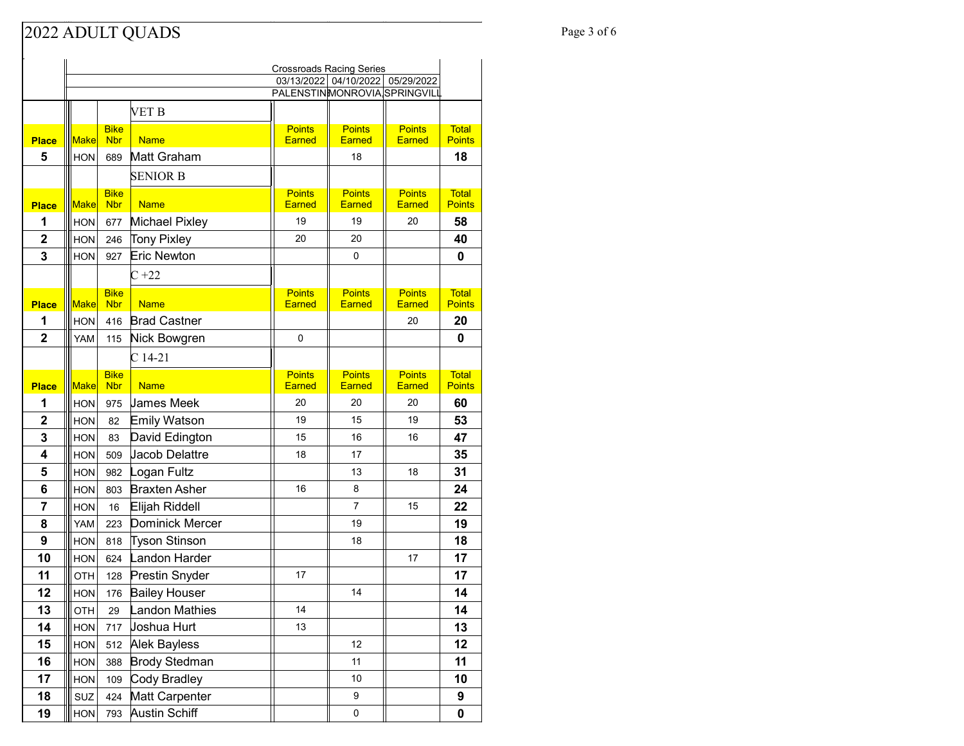### Page 3 of 6 Page 3 of 6

|                | <b>Crossroads Racing Series</b> |                           |                      |                                |                                  |                                |                               |
|----------------|---------------------------------|---------------------------|----------------------|--------------------------------|----------------------------------|--------------------------------|-------------------------------|
|                |                                 |                           |                      |                                | 03/13/2022 04/10/2022 05/29/2022 |                                |                               |
|                |                                 |                           |                      | PALENSTINMONROVIA, SPRINGVILL  |                                  |                                |                               |
|                |                                 |                           | VET B                |                                |                                  |                                |                               |
| <b>Place</b>   | <b>Make</b>                     | <b>Bike</b><br><b>Nbr</b> | <b>Name</b>          | <b>Points</b><br><b>Earned</b> | <b>Points</b><br><b>Earned</b>   | <b>Points</b><br><b>Earned</b> | <b>Total</b><br><b>Points</b> |
| 5              | <b>HON</b>                      | 689                       | Matt Graham          |                                | 18                               |                                | 18                            |
|                |                                 |                           |                      |                                |                                  |                                |                               |
|                |                                 |                           | <b>SENIOR B</b>      |                                |                                  |                                |                               |
| <b>Place</b>   | <b>Make</b>                     | <b>Bike</b><br><b>Nbr</b> | <b>Name</b>          | <b>Points</b><br>Earned        | <b>Points</b><br><b>Earned</b>   | <b>Points</b><br><b>Earned</b> | <b>Total</b><br><b>Points</b> |
| 1              | <b>HON</b>                      | 677                       | Michael Pixley       | 19                             | 19                               | 20                             | 58                            |
| $\overline{2}$ | <b>HON</b>                      | 246                       | Tony Pixley          | 20                             | 20                               |                                | 40                            |
| 3              | <b>HON</b>                      | 927                       | <b>Eric Newton</b>   |                                | 0                                |                                | 0                             |
|                |                                 |                           | $C+22$               |                                |                                  |                                |                               |
|                |                                 | <b>Bike</b>               |                      | <b>Points</b>                  | <b>Points</b>                    | <b>Points</b>                  | <b>Total</b>                  |
| <b>Place</b>   | <b>Make</b>                     | <b>Nbr</b>                | <b>Name</b>          | <b>Earned</b>                  | <b>Earned</b>                    | Earned                         | <b>Points</b>                 |
| 1              | <b>HON</b>                      | 416                       | <b>Brad Castner</b>  |                                |                                  | 20                             | 20                            |
| $\overline{2}$ | YAM                             | 115                       | Nick Bowgren         | 0                              |                                  |                                | 0                             |
|                |                                 |                           | $C14-21$             |                                |                                  |                                |                               |
|                |                                 | <b>Bike</b>               |                      | <b>Points</b>                  | <b>Points</b>                    | <b>Points</b>                  | <b>Total</b>                  |
| <b>Place</b>   | <b>Make</b>                     | <b>Nbr</b>                | <b>Name</b>          | <b>Earned</b>                  | <b>Earned</b>                    | <b>Earned</b>                  | <b>Points</b>                 |
| 1              | <b>HON</b>                      | 975                       | <b>James Meek</b>    | 20                             | 20                               | 20                             | 60                            |
| 2              | <b>HON</b>                      | 82                        | Emily Watson         | 19                             | 15                               | 19                             | 53                            |
| 3              | <b>HON</b>                      | 83                        | David Edington       | 15                             | 16                               | 16                             | 47                            |
| 4              | <b>HON</b>                      | 509                       | Jacob Delattre       | 18                             | 17                               |                                | 35                            |
| 5              | <b>HON</b>                      | 982                       | Logan Fultz          |                                | 13                               | 18                             | 31                            |
| 6              | <b>HON</b>                      | 803                       | <b>Braxten Asher</b> | 16                             | 8                                |                                | 24                            |
| 7              | <b>HON</b>                      | 16                        | Elijah Riddell       |                                | $\overline{7}$                   | 15                             | 22                            |
| 8              | YAM                             | 223                       | Dominick Mercer      |                                | 19                               |                                | 19                            |
| 9              | <b>HON</b>                      | 818                       | <b>Tyson Stinson</b> |                                | 18                               |                                | 18                            |
| 10             | <b>HON</b>                      | 624                       | Landon Harder        |                                |                                  | 17                             | 17                            |
| 11             | OTH                             | 128                       | Prestin Snyder       | 17                             |                                  |                                | 17                            |
| 12             | <b>HON</b>                      | 176                       | <b>Bailey Houser</b> |                                | 14                               |                                | 14                            |
| 13             | OTH                             | 29                        | Landon Mathies       | 14                             |                                  |                                | 14                            |
| 14             | <b>HON</b>                      | 717                       | Joshua Hurt          | 13                             |                                  |                                | 13                            |
| 15             | HON                             | 512                       | Alek Bayless         |                                | 12                               |                                | 12                            |
| 16             | <b>HON</b>                      | 388                       | <b>Brody Stedman</b> |                                | 11                               |                                | 11                            |
| 17             | <b>HON</b>                      | 109                       | Cody Bradley         |                                | 10                               |                                | 10                            |
| 18             | SUZ                             | 424                       | Matt Carpenter       |                                | 9                                |                                | 9                             |
| 19             | HON                             | 793                       | Austin Schiff        |                                | $\pmb{0}$                        |                                | 0                             |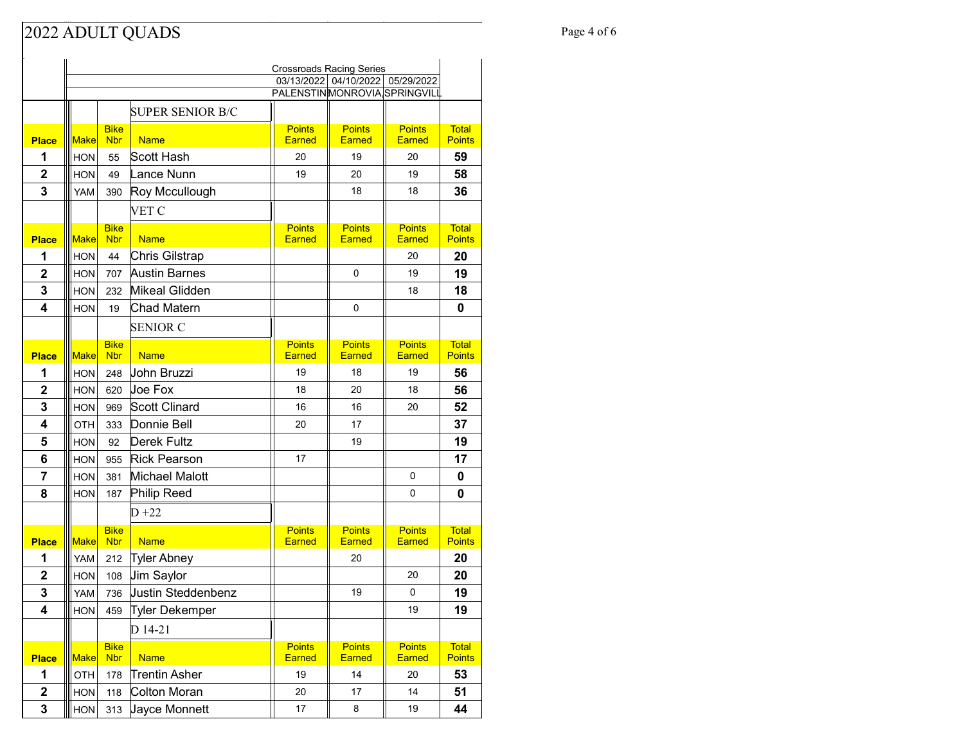#### Page 4 of 6 Page 4 of 6

|                         | <b>Crossroads Racing Series</b> |                           |                         |                                |                                  |                                |                               |
|-------------------------|---------------------------------|---------------------------|-------------------------|--------------------------------|----------------------------------|--------------------------------|-------------------------------|
|                         |                                 |                           |                         |                                | 03/13/2022 04/10/2022 05/29/2022 |                                |                               |
|                         |                                 |                           |                         | PALENSTINMONROVIA SPRINGVILL   |                                  |                                |                               |
|                         |                                 |                           | <b>SUPER SENIOR B/C</b> |                                |                                  |                                |                               |
| <b>Place</b>            | <b>Make</b>                     | <b>Bike</b><br><b>Nbr</b> | <b>Name</b>             | <b>Points</b><br><b>Earned</b> | <b>Points</b><br>Earned          | <b>Points</b><br>Earned        | <b>Total</b><br><b>Points</b> |
| 1                       | <b>HON</b>                      | 55                        | Scott Hash              | 20                             | 19                               | 20                             | 59                            |
| $\overline{2}$          | <b>HON</b>                      | 49                        | Lance Nunn              | 19                             | 20                               | 19                             | 58                            |
| 3                       | YAM                             | 390                       | Roy Mccullough          |                                | 18                               | 18                             | 36                            |
|                         |                                 |                           | VET C                   |                                |                                  |                                |                               |
| <b>Place</b>            | <b>Make</b>                     | <b>Bike</b><br><b>Nbr</b> | <b>Name</b>             | <b>Points</b><br><b>Earned</b> | <b>Points</b><br><b>Earned</b>   | <b>Points</b><br><b>Earned</b> | <b>Total</b><br><b>Points</b> |
| 1                       | HON                             | 44                        | Chris Gilstrap          |                                |                                  | 20                             | 20                            |
| $\overline{2}$          | <b>HON</b>                      | 707                       | <b>Austin Barnes</b>    |                                | 0                                | 19                             | 19                            |
| 3                       | <b>HON</b>                      | 232                       | Mikeal Glidden          |                                |                                  | 18                             | 18                            |
| 4                       | <b>HON</b>                      | 19                        | Chad Matern             |                                | 0                                |                                | 0                             |
|                         |                                 |                           | <b>SENIOR C</b>         |                                |                                  |                                |                               |
|                         |                                 | <b>Bike</b>               |                         | <b>Points</b>                  | <b>Points</b>                    | <b>Points</b>                  | <b>Total</b>                  |
| <b>Place</b>            | Make                            | <b>Nbr</b>                | <b>Name</b>             | <b>Earned</b>                  | Earned                           | Earned                         | <b>Points</b>                 |
| 1                       | <b>HON</b>                      | 248                       | John Bruzzi             | 19                             | 18                               | 19                             | 56                            |
| $\overline{2}$          | <b>HON</b>                      | 620                       | lloe Fox                | 18                             | 20                               | 18                             | 56                            |
| 3                       | <b>HON</b>                      | 969                       | Scott Clinard           | 16                             | 16                               | 20                             | 52                            |
| 4                       | OTH                             | 333                       | Donnie Bell             | 20                             | 17                               |                                | 37                            |
| 5                       | <b>HON</b>                      | 92                        | Derek Fultz             |                                | 19                               |                                | 19                            |
| 6                       | <b>HON</b>                      | 955                       | <b>Rick Pearson</b>     | 17                             |                                  |                                | 17                            |
| 7                       | <b>HON</b>                      | 381                       | Michael Malott          |                                |                                  | 0                              | 0                             |
| 8                       | <b>HON</b>                      | 187                       | Philip Reed             |                                |                                  | 0                              | 0                             |
|                         |                                 |                           | $D+22$                  |                                |                                  |                                |                               |
| <b>Place</b>            | <b>Make</b>                     | <b>Bike</b><br><b>Nbr</b> | <b>Name</b>             | <b>Points</b><br><b>Earned</b> | <b>Points</b><br><b>Earned</b>   | <b>Points</b><br><b>Earned</b> | <b>Total</b><br><b>Points</b> |
| 1                       | YAM                             | 212                       | <b>Tyler Abney</b>      |                                | 20                               |                                | 20                            |
| $\overline{2}$          | <b>HON</b>                      | 108                       | <b>Jim Saylor</b>       |                                |                                  | 20                             | 20                            |
| 3                       | YAM                             | 736                       | Justin Steddenbenz      |                                | 19                               | 0                              | 19                            |
| 4                       | <b>HON</b>                      | 459                       | Tyler Dekemper          |                                |                                  | 19                             | 19                            |
|                         |                                 |                           | D 14-21                 |                                |                                  |                                |                               |
| <b>Place</b>            | <b>Make</b>                     | <b>Bike</b><br><b>Nbr</b> | <b>Name</b>             | <b>Points</b><br><b>Earned</b> | <b>Points</b><br>Earned          | <b>Points</b><br>Earned        | <b>Total</b><br><b>Points</b> |
| 1                       | OTH                             | 178                       | <b>Trentin Asher</b>    | 19                             | 14                               | 20                             | 53                            |
| $\overline{\mathbf{2}}$ | <b>HON</b>                      | 118                       | Colton Moran            | 20                             | 17                               | 14                             | 51                            |
| 3                       | HON                             | 313                       | Jayce Monnett           | 17                             | 8                                | 19                             | 44                            |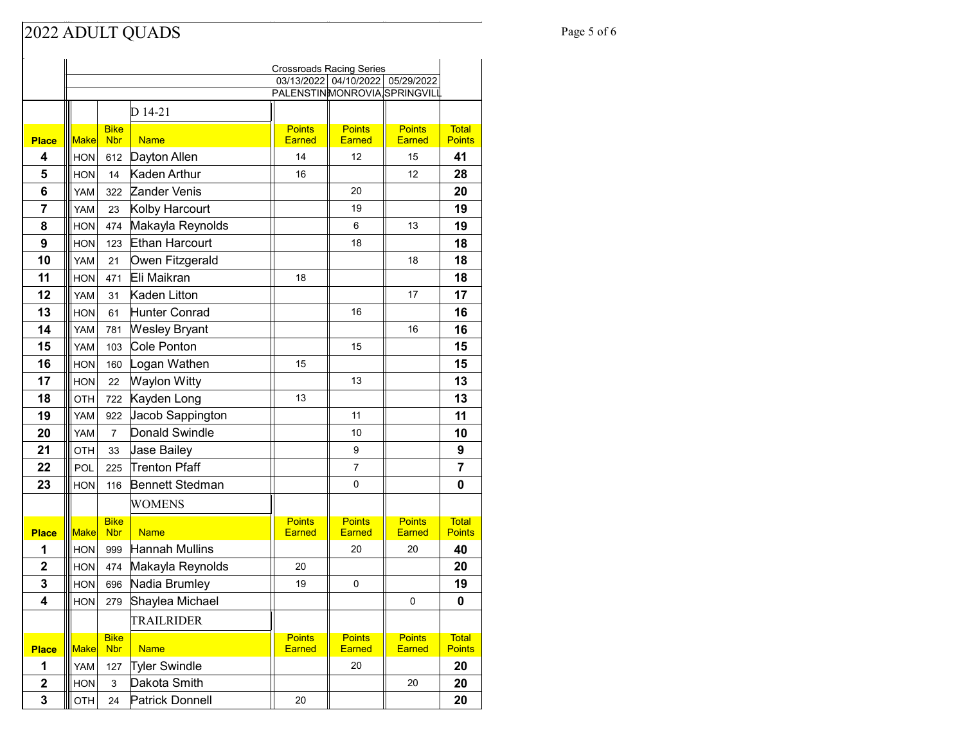## Page 5 of 6 Page 5 of 6

|                         |             |                           |                        | <b>Crossroads Racing Series</b> |                                  |                                |                               |
|-------------------------|-------------|---------------------------|------------------------|---------------------------------|----------------------------------|--------------------------------|-------------------------------|
|                         |             |                           |                        |                                 | 03/13/2022 04/10/2022 05/29/2022 |                                |                               |
|                         |             |                           |                        | PALENSTINMONROVIA SPRINGVILL    |                                  |                                |                               |
|                         |             |                           | D 14-21                |                                 |                                  |                                |                               |
| <b>Place</b>            | <b>Make</b> | <b>Bike</b><br><b>Nbr</b> | <b>Name</b>            | <b>Points</b><br>Earned         | <b>Points</b><br><b>Earned</b>   | <b>Points</b><br><b>Earned</b> | <b>Total</b><br><b>Points</b> |
| $\overline{\mathbf{4}}$ | <b>HON</b>  | 612                       | Dayton Allen           | 14                              | 12                               | 15                             | 41                            |
| 5                       | <b>HON</b>  | 14                        | Kaden Arthur           | 16                              |                                  | 12                             | 28                            |
| 6                       | YAM         | 322                       | Zander Venis           |                                 | 20                               |                                | 20                            |
| $\overline{7}$          | <b>YAM</b>  | 23                        | Kolby Harcourt         |                                 | 19                               |                                | 19                            |
| 8                       | <b>HON</b>  | 474                       | Makayla Reynolds       |                                 | 6                                | 13                             | 19                            |
| 9                       | <b>HON</b>  | 123                       | Ethan Harcourt         |                                 | 18                               |                                | 18                            |
| 10                      | <b>YAM</b>  | 21                        | Owen Fitzgerald        |                                 |                                  | 18                             | 18                            |
| 11                      | <b>HON</b>  | 471                       | Eli Maikran            | 18                              |                                  |                                | 18                            |
| 12                      | <b>YAM</b>  | 31                        | Kaden Litton           |                                 |                                  | 17                             | 17                            |
| 13                      | <b>HON</b>  | 61                        | Hunter Conrad          |                                 | 16                               |                                | 16                            |
| 14                      | YAM         | 781                       | <b>Wesley Bryant</b>   |                                 |                                  | 16                             | 16                            |
| 15                      | YAM         | 103                       | Cole Ponton            |                                 | 15                               |                                | 15                            |
| 16                      | <b>HON</b>  | 160                       | Logan Wathen           | 15                              |                                  |                                | 15                            |
| 17                      | <b>HON</b>  | 22                        | Waylon Witty           |                                 | 13                               |                                | 13                            |
| 18                      | <b>OTH</b>  | 722                       | Kayden Long            | 13                              |                                  |                                | 13                            |
| 19                      | YAM         | 922                       | Jacob Sappington       |                                 | 11                               |                                | 11                            |
| 20                      | YAM         | $\overline{7}$            | <b>Donald Swindle</b>  |                                 | 10                               |                                | 10                            |
| 21                      | OTH         | 33                        | Jase Bailey            |                                 | 9                                |                                | 9                             |
| 22                      | POL         | 225                       | Trenton Pfaff          |                                 | 7                                |                                | 7                             |
| 23                      | <b>HON</b>  | 116                       | Bennett Stedman        |                                 | 0                                |                                | 0                             |
|                         |             |                           | WOMENS                 |                                 |                                  |                                |                               |
| <b>Place</b>            | <b>Make</b> | <b>Bike</b><br><b>Nbr</b> | <b>Name</b>            | <b>Points</b><br><b>Earned</b>  | <b>Points</b><br><b>Earned</b>   | <b>Points</b><br><b>Earned</b> | <b>Total</b><br><b>Points</b> |
| 1                       | <b>HON</b>  | 999                       | <b>Hannah Mullins</b>  |                                 | 20                               | 20                             | 40                            |
| $\mathbf 2$             | <b>HON</b>  | 474                       | Makayla Reynolds       | 20                              |                                  |                                | 20                            |
| 3                       | <b>HON</b>  | 696                       | Nadia Brumley          | 19                              | 0                                |                                | 19                            |
| 4                       | HON         | 279                       | Shaylea Michael        |                                 |                                  | 0                              | 0                             |
|                         |             |                           | TRAILRIDER             |                                 |                                  |                                |                               |
|                         |             | <b>Bike</b>               |                        | <b>Points</b>                   | <b>Points</b>                    | <b>Points</b>                  | <b>Total</b>                  |
| <b>Place</b>            | <b>Make</b> | <b>Nbr</b>                | <b>Name</b>            | Earned                          | <b>Earned</b>                    | Earned                         | <b>Points</b>                 |
| 1                       | YAM         | 127                       | <b>Tyler Swindle</b>   |                                 | 20                               |                                | 20                            |
| $\mathbf 2$             | <b>HON</b>  | 3                         | Dakota Smith           |                                 |                                  | 20                             | 20                            |
| 3                       | OTH         | 24                        | <b>Patrick Donnell</b> | 20                              |                                  |                                | 20                            |